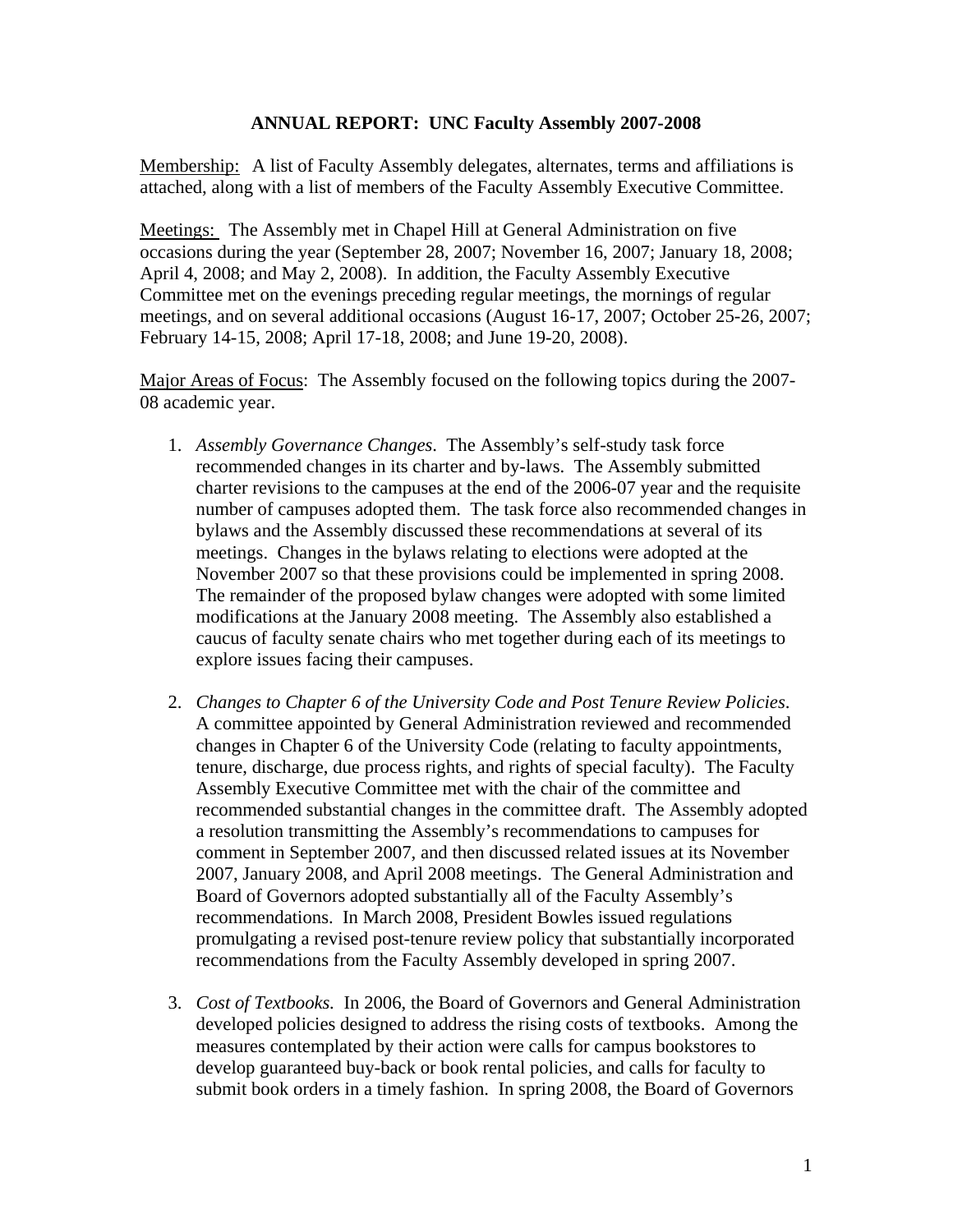## **ANNUAL REPORT: UNC Faculty Assembly 2007-2008**

Membership: A list of Faculty Assembly delegates, alternates, terms and affiliations is attached, along with a list of members of the Faculty Assembly Executive Committee.

Meetings: The Assembly met in Chapel Hill at General Administration on five occasions during the year (September 28, 2007; November 16, 2007; January 18, 2008; April 4, 2008; and May 2, 2008). In addition, the Faculty Assembly Executive Committee met on the evenings preceding regular meetings, the mornings of regular meetings, and on several additional occasions (August 16-17, 2007; October 25-26, 2007; February 14-15, 2008; April 17-18, 2008; and June 19-20, 2008).

Major Areas of Focus: The Assembly focused on the following topics during the 2007-08 academic year.

- 1. *Assembly Governance Changes*. The Assembly's self-study task force recommended changes in its charter and by-laws. The Assembly submitted charter revisions to the campuses at the end of the 2006-07 year and the requisite number of campuses adopted them. The task force also recommended changes in bylaws and the Assembly discussed these recommendations at several of its meetings. Changes in the bylaws relating to elections were adopted at the November 2007 so that these provisions could be implemented in spring 2008. The remainder of the proposed bylaw changes were adopted with some limited modifications at the January 2008 meeting. The Assembly also established a caucus of faculty senate chairs who met together during each of its meetings to explore issues facing their campuses.
- 2. *Changes to Chapter 6 of the University Code and Post Tenure Review Policies*. A committee appointed by General Administration reviewed and recommended changes in Chapter 6 of the University Code (relating to faculty appointments, tenure, discharge, due process rights, and rights of special faculty). The Faculty Assembly Executive Committee met with the chair of the committee and recommended substantial changes in the committee draft. The Assembly adopted a resolution transmitting the Assembly's recommendations to campuses for comment in September 2007, and then discussed related issues at its November 2007, January 2008, and April 2008 meetings. The General Administration and Board of Governors adopted substantially all of the Faculty Assembly's recommendations. In March 2008, President Bowles issued regulations promulgating a revised post-tenure review policy that substantially incorporated recommendations from the Faculty Assembly developed in spring 2007.
- 3. *Cost of Textbooks.* In 2006, the Board of Governors and General Administration developed policies designed to address the rising costs of textbooks. Among the measures contemplated by their action were calls for campus bookstores to develop guaranteed buy-back or book rental policies, and calls for faculty to submit book orders in a timely fashion. In spring 2008, the Board of Governors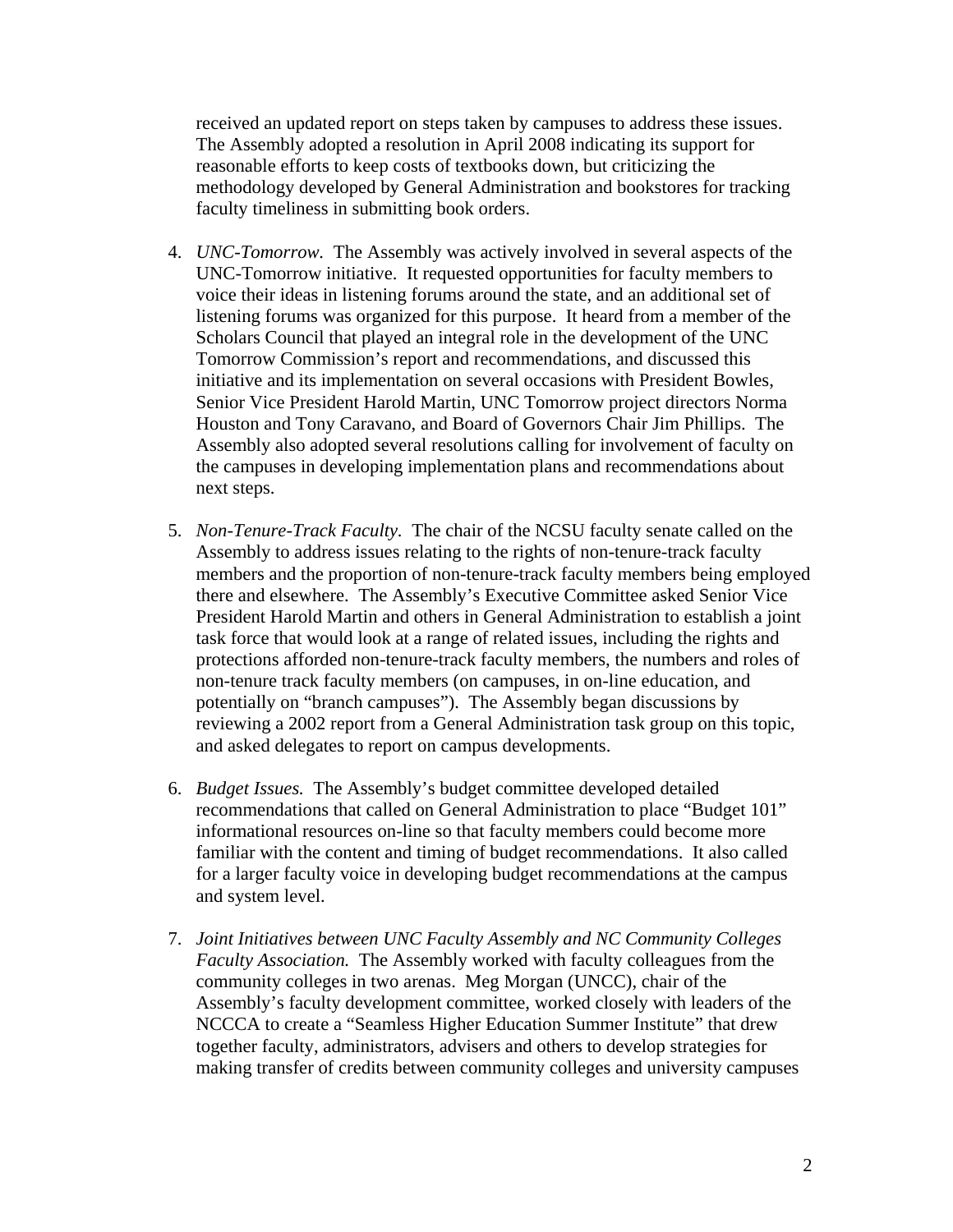received an updated report on steps taken by campuses to address these issues. The Assembly adopted a resolution in April 2008 indicating its support for reasonable efforts to keep costs of textbooks down, but criticizing the methodology developed by General Administration and bookstores for tracking faculty timeliness in submitting book orders.

- 4. *UNC-Tomorrow.* The Assembly was actively involved in several aspects of the UNC-Tomorrow initiative. It requested opportunities for faculty members to voice their ideas in listening forums around the state, and an additional set of listening forums was organized for this purpose. It heard from a member of the Scholars Council that played an integral role in the development of the UNC Tomorrow Commission's report and recommendations, and discussed this initiative and its implementation on several occasions with President Bowles, Senior Vice President Harold Martin, UNC Tomorrow project directors Norma Houston and Tony Caravano, and Board of Governors Chair Jim Phillips. The Assembly also adopted several resolutions calling for involvement of faculty on the campuses in developing implementation plans and recommendations about next steps.
- 5. *Non-Tenure-Track Faculty.* The chair of the NCSU faculty senate called on the Assembly to address issues relating to the rights of non-tenure-track faculty members and the proportion of non-tenure-track faculty members being employed there and elsewhere. The Assembly's Executive Committee asked Senior Vice President Harold Martin and others in General Administration to establish a joint task force that would look at a range of related issues, including the rights and protections afforded non-tenure-track faculty members, the numbers and roles of non-tenure track faculty members (on campuses, in on-line education, and potentially on "branch campuses"). The Assembly began discussions by reviewing a 2002 report from a General Administration task group on this topic, and asked delegates to report on campus developments.
- 6. *Budget Issues.* The Assembly's budget committee developed detailed recommendations that called on General Administration to place "Budget 101" informational resources on-line so that faculty members could become more familiar with the content and timing of budget recommendations. It also called for a larger faculty voice in developing budget recommendations at the campus and system level.
- 7. *Joint Initiatives between UNC Faculty Assembly and NC Community Colleges Faculty Association.* The Assembly worked with faculty colleagues from the community colleges in two arenas. Meg Morgan (UNCC), chair of the Assembly's faculty development committee, worked closely with leaders of the NCCCA to create a "Seamless Higher Education Summer Institute" that drew together faculty, administrators, advisers and others to develop strategies for making transfer of credits between community colleges and university campuses